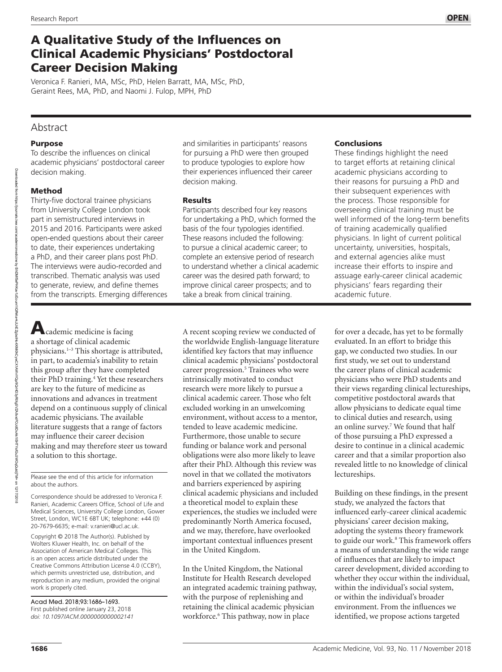# A Qualitative Study of the Influences on Clinical Academic Physicians' Postdoctoral Career Decision Making

Veronica F. Ranieri, MA, MSc, PhD, Helen Barratt, MA, MSc, PhD, Geraint Rees, MA, PhD, and Naomi J. Fulop, MPH, PhD

## Abstract

## Purpose

To describe the influences on clinical academic physicians' postdoctoral career decision making.

## Method

Downloaded

rom ntps://pur

https://journals.lww.com/academicmedicine

cademicmedicine by BhDMIbePHKav1zEoum

Thirty-five doctoral trainee physicians from University College London took part in semistructured interviews in 2015 and 2016. Participants were asked open-ended questions about their career to date, their experiences undertaking a PhD, and their career plans post PhD. The interviews were audio-recorded and transcribed. Thematic analysis was used to generate, review, and define themes from the transcripts. Emerging differences and similarities in participants' reasons for pursuing a PhD were then grouped to produce typologies to explore how their experiences influenced their career decision making.

## Results

Participants described four key reasons for undertaking a PhD, which formed the basis of the four typologies identified. These reasons included the following: to pursue a clinical academic career; to complete an extensive period of research to understand whether a clinical academic career was the desired path forward; to improve clinical career prospects; and to take a break from clinical training.

## **Conclusions**

These findings highlight the need to target efforts at retaining clinical academic physicians according to their reasons for pursuing a PhD and their subsequent experiences with the process. Those responsible for overseeing clinical training must be well informed of the long-term benefits of training academically qualified physicians. In light of current political uncertainty, universities, hospitals, and external agencies alike must increase their efforts to inspire and assuage early-career clinical academic physicians' fears regarding their academic future.

cademic medicine is facing a shortage of clinical academic physicians.1–3 This shortage is attributed, in part, to academia's inability to retain this group after they have completed their PhD training.4 Yet these researchers are key to the future of medicine as innovations and advances in treatment depend on a continuous supply of clinical academic physicians. The available literature suggests that a range of factors may influence their career decision making and may therefore steer us toward a solution to this shortage.

Please see the end of this article for information about the authors.

Correspondence should be addressed to Veronica F. Ranieri, Academic Careers Office, School of Life and Medical Sciences, University College London, Gower Street, London, WC1E 6BT UK; telephone: +44 (0) 20-7679-6635; e-mail: [v.ranieri@ucl.ac.uk.](mailto:v.ranieri@ucl.ac.uk)

Copyright © 2018 The Author(s). Published by Wolters Kluwer Health, Inc. on behalf of the Association of American Medical Colleges. This is an open access article distributed under the [Creative Commons Attribution License 4.0 \(CCBY\)](http://creativecommons.org/licenses/by/4.0/), which permits unrestricted use, distribution, and reproduction in any medium, provided the original work is properly cited.

Acad Med. 2018;93:1686–1693. First published online January 23, 2018 *doi: 10.1097/ACM.0000000000002141* A recent scoping review we conducted of the worldwide English-language literature identified key factors that may influence clinical academic physicians' postdoctoral career progression.<sup>5</sup> Trainees who were intrinsically motivated to conduct research were more likely to pursue a clinical academic career. Those who felt excluded working in an unwelcoming environment, without access to a mentor, tended to leave academic medicine. Furthermore, those unable to secure funding or balance work and personal obligations were also more likely to leave after their PhD. Although this review was novel in that we collated the motivators and barriers experienced by aspiring clinical academic physicians and included a theoretical model to explain these experiences, the studies we included were predominantly North America focused, and we may, therefore, have overlooked important contextual influences present in the United Kingdom.

In the United Kingdom, the National Institute for Health Research developed an integrated academic training pathway, with the purpose of replenishing and retaining the clinical academic physician workforce.6 This pathway, now in place

for over a decade, has yet to be formally evaluated. In an effort to bridge this gap, we conducted two studies. In our first study, we set out to understand the career plans of clinical academic physicians who were PhD students and their views regarding clinical lectureships, competitive postdoctoral awards that allow physicians to dedicate equal time to clinical duties and research, using an online survey.7 We found that half of those pursuing a PhD expressed a desire to continue in a clinical academic career and that a similar proportion also revealed little to no knowledge of clinical lectureships.

Building on these findings, in the present study, we analyzed the factors that influenced early-career clinical academic physicians' career decision making, adopting the systems theory framework to guide our work.<sup>8</sup> This framework offers a means of understanding the wide range of influences that are likely to impact career development, divided according to whether they occur within the individual, within the individual's social system, or within the individual's broader environment. From the influences we identified, we propose actions targeted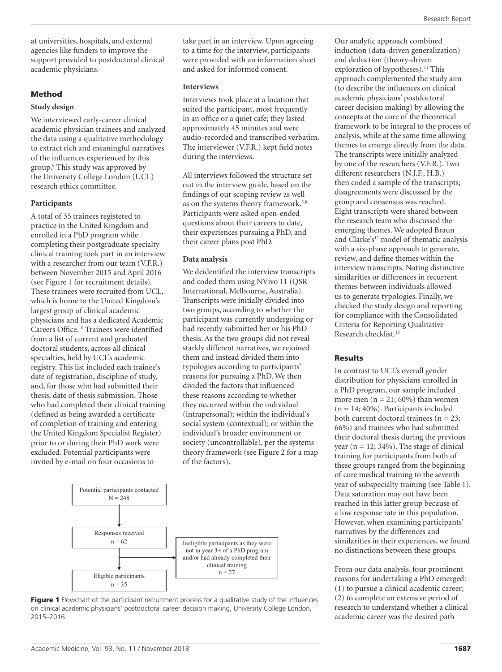at universities, hospitals, and external agencies like funders to improve the support provided to postdoctoral clinical academic physicians.

## Method

## **Study design**

We interviewed early-career clinical academic physician trainees and analyzed the data using a qualitative methodology to extract rich and meaningful narratives of the influences experienced by this group.9 This study was approved by the University College London (UCL) research ethics committee.

### **Participants**

A total of 35 trainees registered to practice in the United Kingdom and enrolled in a PhD program while completing their postgraduate specialty clinical training took part in an interview with a researcher from our team (V.F.R.) between November 2015 and April 2016 (see Figure 1 for recruitment details). These trainees were recruited from UCL, which is home to the United Kingdom's largest group of clinical academic physicians and has a dedicated Academic Careers Office.10 Trainees were identified from a list of current and graduated doctoral students, across all clinical specialties, held by UCL's academic registry. This list included each trainee's date of registration, discipline of study, and, for those who had submitted their thesis, date of thesis submission. Those who had completed their clinical training (defined as being awarded a certificate of completion of training and entering the United Kingdom Specialist Register) prior to or during their PhD work were excluded. Potential participants were invited by e-mail on four occasions to

take part in an interview. Upon agreeing to a time for the interview, participants were provided with an information sheet and asked for informed consent.

#### **Interviews**

Interviews took place at a location that suited the participant, most frequently in an office or a quiet cafe; they lasted approximately 45 minutes and were audio-recorded and transcribed verbatim. The interviewer (V.F.R.) kept field notes during the interviews.

All interviews followed the structure set out in the interview guide, based on the findings of our scoping review as well as on the systems theory framework.<sup>5,8</sup> Participants were asked open-ended questions about their careers to date, their experiences pursuing a PhD, and their career plans post PhD.

### **Data analysis**

We deidentified the interview transcripts and coded them using NVivo 11 (QSR International, Melbourne, Australia). Transcripts were initially divided into two groups, according to whether the participant was currently undergoing or had recently submitted her or his PhD thesis. As the two groups did not reveal starkly different narratives, we rejoined them and instead divided them into typologies according to participants' reasons for pursuing a PhD. We then divided the factors that influenced these reasons according to whether they occurred within the individual (intrapersonal); within the individual's social system (contextual); or within the individual's broader environment or society (uncontrollable), per the systems theory framework (see Figure 2 for a map of the factors).





Our analytic approach combined induction (data-driven generalization) and deduction (theory-driven exploration of hypotheses).<sup>11</sup> This approach complemented the study aim (to describe the influences on clinical academic physicians' postdoctoral career decision making) by allowing the concepts at the core of the theoretical framework to be integral to the process of analysis, while at the same time allowing themes to emerge directly from the data. The transcripts were initially analyzed by one of the researchers (V.F.R.). Two different researchers (N.J.F., H.B.) then coded a sample of the transcripts; disagreements were discussed by the group and consensus was reached. Eight transcripts were shared between the research team who discussed the emerging themes. We adopted Braun and Clarke's<sup>12</sup> model of thematic analysis with a six-phase approach to generate, review, and define themes within the interview transcripts. Noting distinctive similarities or differences in recurrent themes between individuals allowed us to generate typologies. Finally, we checked the study design and reporting for compliance with the Consolidated Criteria for Reporting Qualitative Research checklist.13

## **Results**

In contrast to UCL's overall gender distribution for physicians enrolled in a PhD program, our sample included more men  $(n = 21; 60%)$  than women  $(n = 14; 40\%)$ . Participants included both current doctoral trainees ( $n = 23$ ; 66%) and trainees who had submitted their doctoral thesis during the previous year ( $n = 12$ ; 34%). The stage of clinical training for participants from both of these groups ranged from the beginning of core medical training to the seventh year of subspecialty training (see Table 1). Data saturation may not have been reached in this latter group because of a low response rate in this population. However, when examining participants' narratives by the differences and similarities in their experiences, we found no distinctions between these groups.

From our data analysis, four prominent reasons for undertaking a PhD emerged: (1) to pursue a clinical academic career; (2) to complete an extensive period of research to understand whether a clinical academic career was the desired path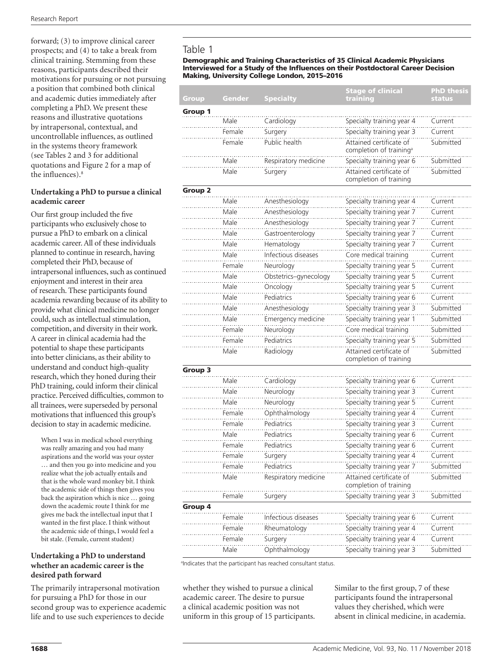forward; (3) to improve clinical career prospects; and (4) to take a break from clinical training. Stemming from these reasons, participants described their motivations for pursuing or not pursuing a position that combined both clinical and academic duties immediately after completing a PhD. We present these reasons and illustrative quotations by intrapersonal, contextual, and uncontrollable influences, as outlined in the systems theory framework (see Tables 2 and 3 for additional quotations and Figure 2 for a map of the influences).8

## **Undertaking a PhD to pursue a clinical academic career**

Our first group included the five participants who exclusively chose to pursue a PhD to embark on a clinical academic career. All of these individuals planned to continue in research, having completed their PhD, because of intrapersonal influences, such as continued enjoyment and interest in their area of research. These participants found academia rewarding because of its ability to provide what clinical medicine no longer could, such as intellectual stimulation, competition, and diversity in their work. A career in clinical academia had the potential to shape these participants into better clinicians, as their ability to understand and conduct high-quality research, which they honed during their PhD training, could inform their clinical practice. Perceived difficulties, common to all trainees, were superseded by personal motivations that influenced this group's decision to stay in academic medicine.

When I was in medical school everything was really amazing and you had many aspirations and the world was your oyster … and then you go into medicine and you realize what the job actually entails and that is the whole ward monkey bit. I think the academic side of things then gives you back the aspiration which is nice … going down the academic route I think for me gives me back the intellectual input that I wanted in the first place. I think without the academic side of things, I would feel a bit stale. (Female, current student)

### **Undertaking a PhD to understand whether an academic career is the desired path forward**

The primarily intrapersonal motivation for pursuing a PhD for those in our second group was to experience academic life and to use such experiences to decide

## Table 1

#### Demographic and Training Characteristics of 35 Clinical Academic Physicians Interviewed for a Study of the Influences on their Postdoctoral Career Decision Making, University College London, 2015–2016

|                |        |                       | <b>Stage of clinical</b>                                       | <b>PhD thesis</b> |
|----------------|--------|-----------------------|----------------------------------------------------------------|-------------------|
| Group          | Gender | <b>Specialty</b>      | training                                                       | status            |
| Group 1        |        |                       |                                                                |                   |
|                | Male   | Cardiology            | Specialty training year 4                                      | Current           |
|                | Female | Surgery               | Specialty training year 3                                      | Current           |
|                | Female | Public health         | Attained certificate of<br>completion of training <sup>a</sup> | Submitted         |
|                | Male   | Respiratory medicine  | Specialty training year 6                                      | Submitted         |
|                | Male   | Surgery               | Attained certificate of<br>completion of training              | Submitted         |
| <b>Group 2</b> |        |                       |                                                                |                   |
|                | Male   | Anesthesiology        | Specialty training year 4                                      | Current           |
|                | Male   | Anesthesiology        | Specialty training year 7                                      | Current           |
|                | Male   | Anesthesiology        | Specialty training year 7                                      | Current           |
|                | Male   | Gastroenterology      | Specialty training year 7                                      | Current           |
|                | Male   | Hematology            | Specialty training year 7                                      | Current           |
|                | Male   | Infectious diseases   | Core medical training                                          | Current           |
|                | Female | Neurology             | Specialty training year 5                                      | Current           |
|                | Male   | Obstetrics-gynecology | Specialty training year 5                                      | Current           |
|                | Male   | Oncology              | Specialty training year 5                                      | Current           |
|                | Male   | Pediatrics            | Specialty training year 6                                      | Current           |
|                | Male   | Anesthesiology        | Specialty training year 3                                      | <br>Submitted     |
|                | Male   | Emergency medicine    | Specialty training year 1                                      | Submitted         |
|                | Female | Neurology             | Core medical training                                          | Submitted         |
|                | Female | Pediatrics            | Specialty training year 5                                      | Submitted         |
|                | Male   | Radiology             | Attained certificate of<br>completion of training              | Submitted         |
| Group 3        |        |                       |                                                                |                   |
|                | Male   | Cardiology            | Specialty training year 6                                      | Current           |
|                | Male   | Neurology             | Specialty training year 3                                      | Current           |
|                | Male   | Neurology             | Specialty training year 5                                      | Current           |
|                | Female | Ophthalmology         | Specialty training year 4                                      | Current           |
|                | Female | Pediatrics            | Specialty training year 3                                      | Current           |
|                | Male   | Pediatrics            | Specialty training year 6                                      | Current           |
|                | Female | Pediatrics            | Specialty training year 6                                      | Current           |
|                | Female | Surgery               | Specialty training year 4                                      | Current           |
|                | Female | Pediatrics            | Specialty training year 7                                      | Submitted<br>.    |
|                | Male   | Respiratory medicine  | Attained certificate of<br>completion of training              | Submitted         |
|                | Female | Surgery               | Specialty training year 3                                      | Submitted         |
| Group 4        |        |                       |                                                                |                   |
|                | Female | Infectious diseases   | Specialty training year 6                                      | Current           |
|                | Female | Rheumatology          | Specialty training year 4                                      | Current           |
|                | Female | Surgery               | Specialty training year 4                                      | Current           |
|                | Male   | Ophthalmology         | Specialty training year 3                                      | Submitted         |

<sup>a</sup>Indicates that the participant has reached consultant status.

whether they wished to pursue a clinical academic career. The desire to pursue a clinical academic position was not uniform in this group of 15 participants. Similar to the first group, 7 of these participants found the intrapersonal values they cherished, which were absent in clinical medicine, in academia.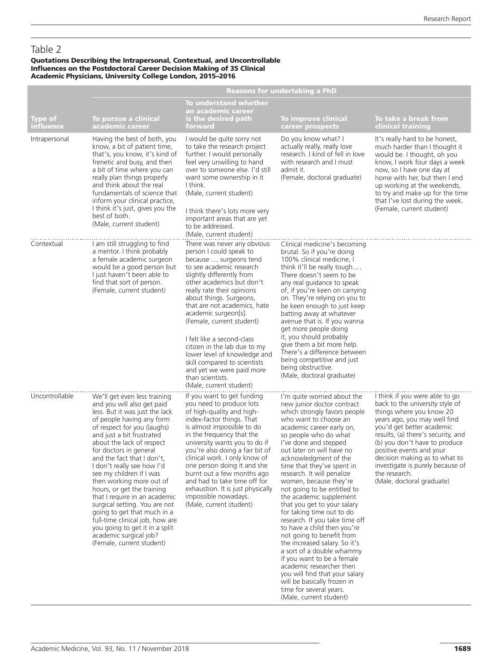## Table 2

#### Quotations Describing the Intrapersonal, Contextual, and Uncontrollable Influences on the Postdoctoral Career Decision Making of 35 Clinical Academic Physicians, University College London, 2015–2016

|                             |                                                                                                                                                                                                                                                                                                                                                                                                                                                                                                                                                                                                                             | Reasons for undertaking a PhD                                                                                                                                                                                                                                                                                                                                                                                                                                                                                                  |                                                                                                                                                                                                                                                                                                                                                                                                                                                                                                                                                                                                                                                                                                                                                                                                                  |                                                                                                                                                                                                                                                                                                                                                                                  |  |  |
|-----------------------------|-----------------------------------------------------------------------------------------------------------------------------------------------------------------------------------------------------------------------------------------------------------------------------------------------------------------------------------------------------------------------------------------------------------------------------------------------------------------------------------------------------------------------------------------------------------------------------------------------------------------------------|--------------------------------------------------------------------------------------------------------------------------------------------------------------------------------------------------------------------------------------------------------------------------------------------------------------------------------------------------------------------------------------------------------------------------------------------------------------------------------------------------------------------------------|------------------------------------------------------------------------------------------------------------------------------------------------------------------------------------------------------------------------------------------------------------------------------------------------------------------------------------------------------------------------------------------------------------------------------------------------------------------------------------------------------------------------------------------------------------------------------------------------------------------------------------------------------------------------------------------------------------------------------------------------------------------------------------------------------------------|----------------------------------------------------------------------------------------------------------------------------------------------------------------------------------------------------------------------------------------------------------------------------------------------------------------------------------------------------------------------------------|--|--|
| <b>Type of</b><br>influence | To pursue a clinical<br>academic career                                                                                                                                                                                                                                                                                                                                                                                                                                                                                                                                                                                     | <b>To understand whether</b><br>an academic career<br>is the desired path<br>forward                                                                                                                                                                                                                                                                                                                                                                                                                                           | <b>To improve clinical</b><br>career prospects                                                                                                                                                                                                                                                                                                                                                                                                                                                                                                                                                                                                                                                                                                                                                                   | To take a break from<br>clinical training                                                                                                                                                                                                                                                                                                                                        |  |  |
| Intrapersonal               | Having the best of both, you<br>know, a bit of patient time,<br>that's, you know, it's kind of<br>frenetic and busy, and then<br>a bit of time where you can<br>really plan things properly<br>and think about the real<br>fundamentals of science that<br>inform your clinical practice,<br>I think it's just, gives you the<br>best of both.<br>(Male, current student)                                                                                                                                                                                                                                                   | I would be quite sorry not<br>to take the research project<br>further. I would personally<br>feel very unwilling to hand<br>over to someone else. I'd still<br>want some ownership in it<br>I think.<br>(Male, current student)<br>I think there's lots more very<br>important areas that are yet<br>to be addressed.<br>(Male, current student)                                                                                                                                                                               | Do you know what? I<br>actually really, really love<br>research. I kind of fell in love<br>with research and I must<br>admit it.<br>(Female, doctoral graduate)                                                                                                                                                                                                                                                                                                                                                                                                                                                                                                                                                                                                                                                  | It's really hard to be honest,<br>much harder than I thought it<br>would be. I thought, oh you<br>know, I work four days a week<br>now, so I have one day at<br>home with her, but then I end<br>up working at the weekends,<br>to try and make up for the time<br>that I've lost during the week.<br>(Female, current student)                                                  |  |  |
| Contextual                  | I am still struggling to find<br>a mentor. I think probably<br>a female academic surgeon<br>would be a good person but<br>I just haven't been able to<br>find that sort of person.<br>(Female, current student)                                                                                                                                                                                                                                                                                                                                                                                                             | There was never any obvious<br>person I could speak to<br>because  surgeons tend<br>to see academic research<br>slightly differently from<br>other academics but don't<br>really rate their opinions<br>about things. Surgeons,<br>that are not academics, hate<br>academic surgeon[s].<br>(Female, current student)<br>I felt like a second-class<br>citizen in the lab due to my<br>lower level of knowledge and<br>skill compared to scientists<br>and yet we were paid more<br>than scientists.<br>(Male, current student) | Clinical medicine's becoming<br>brutal. So if you're doing<br>100% clinical medicine, I<br>think it'll be really tough<br>There doesn't seem to be<br>any real guidance to speak<br>of, if you're keen on carrying<br>on. They're relying on you to<br>be keen enough to just keep<br>batting away at whatever<br>avenue that is. If you wanna<br>get more people doing<br>it, you should probably<br>give them a bit more help.<br>There's a difference between<br>being competitive and just<br>being obstructive.<br>(Male, doctoral graduate)                                                                                                                                                                                                                                                                |                                                                                                                                                                                                                                                                                                                                                                                  |  |  |
| Uncontrollable              | We'll get even less training<br>and you will also get paid<br>less. But it was just the lack<br>of people having any form<br>of respect for you (laughs)<br>and just a bit frustrated<br>about the lack of respect<br>for doctors in general<br>and the fact that I don't,<br>I don't really see how I'd<br>see my children if I was<br>then working more out of<br>hours, or get the training<br>that I require in an academic<br>surgical setting. You are not<br>going to get that much in a<br>full-time clinical job, how are<br>you going to get it in a split<br>academic surgical job?<br>(Female, current student) | If you want to get funding<br>you need to produce lots<br>of high-quality and high-<br>index-factor things. That<br>is almost impossible to do<br>in the frequency that the<br>university wants you to do if<br>you're also doing a fair bit of<br>clinical work. I only know of<br>one person doing it and she<br>burnt out a few months ago<br>and had to take time off for<br>exhaustion. It is just physically<br>impossible nowadays.<br>(Male, current student)                                                          | I'm quite worried about the<br>new junior doctor contract<br>which strongly favors people<br>who want to choose an<br>academic career early on,<br>so people who do what<br>I've done and stepped<br>out later on will have no<br>acknowledgment of the<br>time that they've spent in<br>research. It will penalize<br>women, because they're<br>not going to be entitled to<br>the academic supplement<br>that you get to your salary<br>for taking time out to do<br>research. If you take time off<br>to have a child then you're<br>not going to benefit from<br>the increased salary. So it's<br>a sort of a double whammy<br>if you want to be a female<br>academic researcher then<br>you will find that your salary<br>will be basically frozen in<br>time for several years.<br>(Male, current student) | I think if you were able to go<br>back to the university style of<br>things where you know 20<br>years ago, you may well find<br>you'd get better academic<br>results, (a) there's security, and<br>(b) you don't have to produce<br>positive events and your<br>decision making as to what to<br>investigate is purely because of<br>the research.<br>(Male, doctoral graduate) |  |  |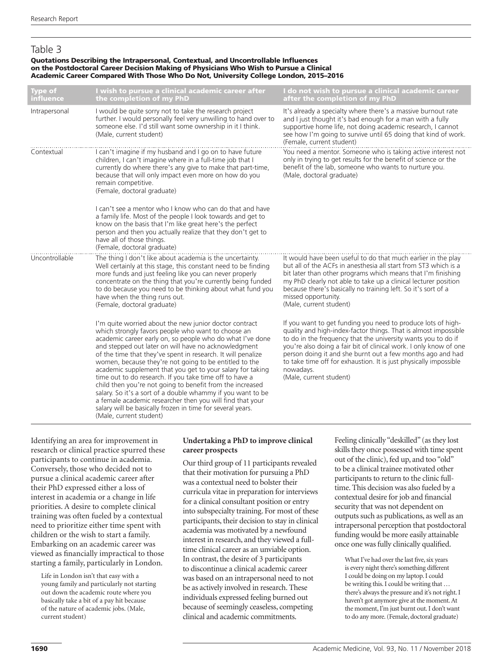## Table 3

#### Quotations Describing the Intrapersonal, Contextual, and Uncontrollable Influences on the Postdoctoral Career Decision Making of Physicians Who Wish to Pursue a Clinical Academic Career Compared With Those Who Do Not, University College London, 2015–2016

| <b>Type of</b><br><b>influence</b> | I wish to pursue a clinical academic career after<br>the completion of my PhD                                                                                                                                                                                                                                                                                                                                                                                                                                                                                                                                                                                                                                                                                          | I do not wish to pursue a clinical academic career<br>after the completion of my PhD                                                                                                                                                                                                                                                                                                                                                             |
|------------------------------------|------------------------------------------------------------------------------------------------------------------------------------------------------------------------------------------------------------------------------------------------------------------------------------------------------------------------------------------------------------------------------------------------------------------------------------------------------------------------------------------------------------------------------------------------------------------------------------------------------------------------------------------------------------------------------------------------------------------------------------------------------------------------|--------------------------------------------------------------------------------------------------------------------------------------------------------------------------------------------------------------------------------------------------------------------------------------------------------------------------------------------------------------------------------------------------------------------------------------------------|
| Intrapersonal                      | I would be quite sorry not to take the research project<br>further. I would personally feel very unwilling to hand over to<br>someone else. I'd still want some ownership in it I think.<br>(Male, current student)                                                                                                                                                                                                                                                                                                                                                                                                                                                                                                                                                    | It's already a specialty where there's a massive burnout rate<br>and I just thought it's bad enough for a man with a fully<br>supportive home life, not doing academic research, I cannot<br>see how I'm going to survive until 65 doing that kind of work.<br>(Female, current student)                                                                                                                                                         |
| Contextual                         | I can't imagine if my husband and I go on to have future<br>children, I can't imagine where in a full-time job that I<br>currently do where there's any give to make that part-time,<br>because that will only impact even more on how do you<br>remain competitive.<br>(Female, doctoral graduate)                                                                                                                                                                                                                                                                                                                                                                                                                                                                    | You need a mentor. Someone who is taking active interest not<br>only in trying to get results for the benefit of science or the<br>benefit of the lab, someone who wants to nurture you.<br>(Male, doctoral graduate)                                                                                                                                                                                                                            |
|                                    | I can't see a mentor who I know who can do that and have<br>a family life. Most of the people I look towards and get to<br>know on the basis that I'm like great here's the perfect<br>person and then you actually realize that they don't get to<br>have all of those things.<br>(Female, doctoral graduate)                                                                                                                                                                                                                                                                                                                                                                                                                                                         |                                                                                                                                                                                                                                                                                                                                                                                                                                                  |
| Uncontrollable                     | The thing I don't like about academia is the uncertainty.<br>Well certainly at this stage, this constant need to be finding<br>more funds and just feeling like you can never properly<br>concentrate on the thing that you're currently being funded<br>to do because you need to be thinking about what fund you<br>have when the thing runs out.<br>(Female, doctoral graduate)                                                                                                                                                                                                                                                                                                                                                                                     | It would have been useful to do that much earlier in the play<br>but all of the ACFs in anesthesia all start from ST3 which is a<br>bit later than other programs which means that I'm finishing<br>my PhD clearly not able to take up a clinical lecturer position<br>because there's basically no training left. So it's sort of a<br>missed opportunity.<br>(Male, current student)                                                           |
|                                    | I'm quite worried about the new junior doctor contract<br>which strongly favors people who want to choose an<br>academic career early on, so people who do what I've done<br>and stepped out later on will have no acknowledgment<br>of the time that they've spent in research. It will penalize<br>women, because they're not going to be entitled to the<br>academic supplement that you get to your salary for taking<br>time out to do research. If you take time off to have a<br>child then you're not going to benefit from the increased<br>salary. So it's a sort of a double whammy if you want to be<br>a female academic researcher then you will find that your<br>salary will be basically frozen in time for several years.<br>(Male, current student) | If you want to get funding you need to produce lots of high-<br>quality and high-index-factor things. That is almost impossible<br>to do in the frequency that the university wants you to do if<br>you're also doing a fair bit of clinical work. I only know of one<br>person doing it and she burnt out a few months ago and had<br>to take time off for exhaustion. It is just physically impossible<br>nowadays.<br>(Male, current student) |

Identifying an area for improvement in research or clinical practice spurred these participants to continue in academia. Conversely, those who decided not to pursue a clinical academic career after their PhD expressed either a loss of interest in academia or a change in life priorities. A desire to complete clinical training was often fueled by a contextual need to prioritize either time spent with children or the wish to start a family. Embarking on an academic career was viewed as financially impractical to those starting a family, particularly in London.

Life in London isn't that easy with a young family and particularly not starting out down the academic route where you basically take a bit of a pay hit because of the nature of academic jobs. (Male, current student)

## **Undertaking a PhD to improve clinical career prospects**

Our third group of 11 participants revealed that their motivation for pursuing a PhD was a contextual need to bolster their curricula vitae in preparation for interviews for a clinical consultant position or entry into subspecialty training. For most of these participants, their decision to stay in clinical academia was motivated by a newfound interest in research, and they viewed a fulltime clinical career as an unviable option. In contrast, the desire of 3 participants to discontinue a clinical academic career was based on an intrapersonal need to not be as actively involved in research. These individuals expressed feeling burned out because of seemingly ceaseless, competing clinical and academic commitments.

Feeling clinically "deskilled" (as they lost skills they once possessed with time spent out of the clinic), fed up, and too "old" to be a clinical trainee motivated other participants to return to the clinic fulltime. This decision was also fueled by a contextual desire for job and financial security that was not dependent on outputs such as publications, as well as an intrapersonal perception that postdoctoral funding would be more easily attainable once one was fully clinically qualified.

What I've had over the last five, six years is every night there's something different I could be doing on my laptop. I could be writing this. I could be writing that … there's always the pressure and it's not right. I haven't got anymore give at the moment. At the moment, I'm just burnt out. I don't want to do any more. (Female, doctoral graduate)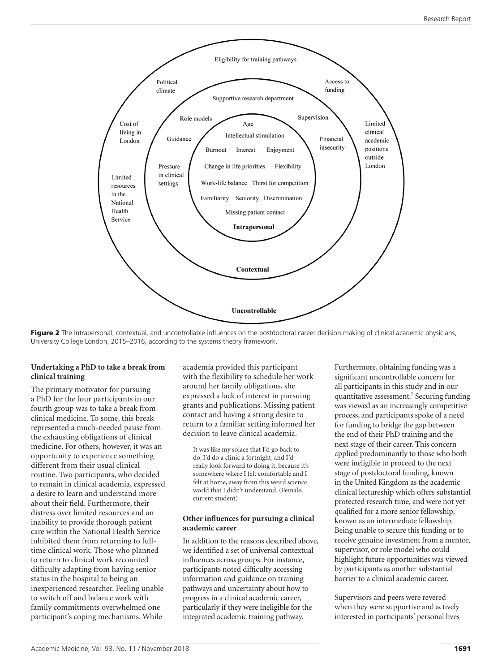

Figure 2 The intrapersonal, contextual, and uncontrollable influences on the postdoctoral career decision making of clinical academic physicians, University College London, 2015–2016, according to the systems theory framework.

## **Undertaking a PhD to take a break from clinical training**

The primary motivator for pursuing a PhD for the four participants in our fourth group was to take a break from clinical medicine. To some, this break represented a much-needed pause from the exhausting obligations of clinical medicine. For others, however, it was an opportunity to experience something different from their usual clinical routine. Two participants, who decided to remain in clinical academia, expressed a desire to learn and understand more about their field. Furthermore, their distress over limited resources and an inability to provide thorough patient care within the National Health Service inhibited them from returning to fulltime clinical work. Those who planned to return to clinical work recounted difficulty adapting from having senior status in the hospital to being an inexperienced researcher. Feeling unable to switch off and balance work with family commitments overwhelmed one participant's coping mechanisms. While

academia provided this participant with the flexibility to schedule her work around her family obligations, she expressed a lack of interest in pursuing grants and publications. Missing patient contact and having a strong desire to return to a familiar setting informed her decision to leave clinical academia.

It was like my solace that I'd go back to do, I'd do a clinic a fortnight, and I'd really look forward to doing it, because it's somewhere where I felt comfortable and I felt at home, away from this weird science world that I didn't understand. (Female, current student)

## **Other influences for pursuing a clinical academic career**

In addition to the reasons described above, we identified a set of universal contextual influences across groups. For instance, participants noted difficulty accessing information and guidance on training pathways and uncertainty about how to progress in a clinical academic career, particularly if they were ineligible for the integrated academic training pathway.

Furthermore, obtaining funding was a significant uncontrollable concern for all participants in this study and in our quantitative assessment.7 Securing funding was viewed as an increasingly competitive process, and participants spoke of a need for funding to bridge the gap between the end of their PhD training and the next stage of their career. This concern applied predominantly to those who both were ineligible to proceed to the next stage of postdoctoral funding, known in the United Kingdom as the academic clinical lectureship which offers substantial protected research time, and were not yet qualified for a more senior fellowship, known as an intermediate fellowship. Being unable to secure this funding or to receive genuine investment from a mentor, supervisor, or role model who could highlight future opportunities was viewed by participants as another substantial barrier to a clinical academic career.

Supervisors and peers were revered when they were supportive and actively interested in participants' personal lives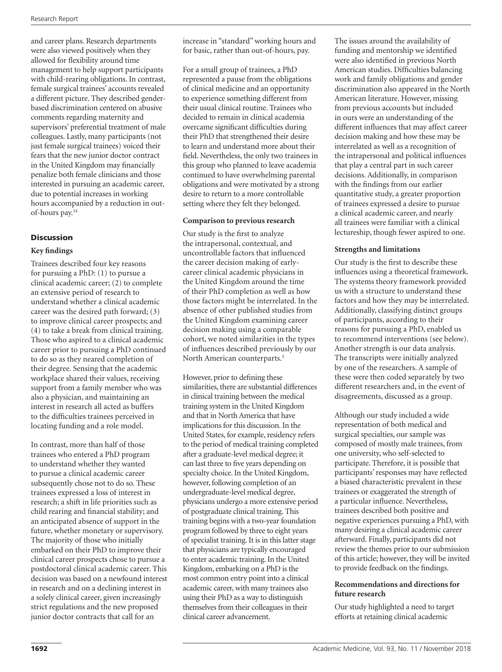and career plans. Research departments were also viewed positively when they allowed for flexibility around time management to help support participants with child-rearing obligations. In contrast, female surgical trainees' accounts revealed a different picture. They described genderbased discrimination centered on abusive comments regarding maternity and supervisors' preferential treatment of male colleagues. Lastly, many participants (not just female surgical trainees) voiced their fears that the new junior doctor contract in the United Kingdom may financially penalize both female clinicians and those interested in pursuing an academic career, due to potential increases in working hours accompanied by a reduction in outof-hours pay.14

## **Discussion**

## **Key findings**

Trainees described four key reasons for pursuing a PhD: (1) to pursue a clinical academic career; (2) to complete an extensive period of research to understand whether a clinical academic career was the desired path forward; (3) to improve clinical career prospects; and (4) to take a break from clinical training. Those who aspired to a clinical academic career prior to pursuing a PhD continued to do so as they neared completion of their degree. Sensing that the academic workplace shared their values, receiving support from a family member who was also a physician, and maintaining an interest in research all acted as buffers to the difficulties trainees perceived in locating funding and a role model.

In contrast, more than half of those trainees who entered a PhD program to understand whether they wanted to pursue a clinical academic career subsequently chose not to do so. These trainees expressed a loss of interest in research; a shift in life priorities such as child rearing and financial stability; and an anticipated absence of support in the future, whether monetary or supervisory. The majority of those who initially embarked on their PhD to improve their clinical career prospects chose to pursue a postdoctoral clinical academic career. This decision was based on a newfound interest in research and on a declining interest in a solely clinical career, given increasingly strict regulations and the new proposed junior doctor contracts that call for an

increase in "standard" working hours and for basic, rather than out-of-hours, pay.

For a small group of trainees, a PhD represented a pause from the obligations of clinical medicine and an opportunity to experience something different from their usual clinical routine. Trainees who decided to remain in clinical academia overcame significant difficulties during their PhD that strengthened their desire to learn and understand more about their field. Nevertheless, the only two trainees in this group who planned to leave academia continued to have overwhelming parental obligations and were motivated by a strong desire to return to a more controllable setting where they felt they belonged.

## **Comparison to previous research**

Our study is the first to analyze the intrapersonal, contextual, and uncontrollable factors that influenced the career decision making of earlycareer clinical academic physicians in the United Kingdom around the time of their PhD completion as well as how those factors might be interrelated. In the absence of other published studies from the United Kingdom examining career decision making using a comparable cohort, we noted similarities in the types of influences described previously by our North American counterparts.5

However, prior to defining these similarities, there are substantial differences in clinical training between the medical training system in the United Kingdom and that in North America that have implications for this discussion. In the United States, for example, residency refers to the period of medical training completed after a graduate-level medical degree; it can last three to five years depending on specialty choice. In the United Kingdom, however, following completion of an undergraduate-level medical degree, physicians undergo a more extensive period of postgraduate clinical training. This training begins with a two-year foundation program followed by three to eight years of specialist training. It is in this latter stage that physicians are typically encouraged to enter academic training. In the United Kingdom, embarking on a PhD is the most common entry point into a clinical academic career, with many trainees also using their PhD as a way to distinguish themselves from their colleagues in their clinical career advancement.

The issues around the availability of funding and mentorship we identified were also identified in previous North American studies. Difficulties balancing work and family obligations and gender discrimination also appeared in the North American literature. However, missing from previous accounts but included in ours were an understanding of the different influences that may affect career decision making and how these may be interrelated as well as a recognition of the intrapersonal and political influences that play a central part in such career decisions. Additionally, in comparison with the findings from our earlier quantitative study, a greater proportion of trainees expressed a desire to pursue a clinical academic career, and nearly all trainees were familiar with a clinical lectureship, though fewer aspired to one.

## **Strengths and limitations**

Our study is the first to describe these influences using a theoretical framework. The systems theory framework provided us with a structure to understand these factors and how they may be interrelated. Additionally, classifying distinct groups of participants, according to their reasons for pursuing a PhD, enabled us to recommend interventions (see below). Another strength is our data analysis. The transcripts were initially analyzed by one of the researchers. A sample of these were then coded separately by two different researchers and, in the event of disagreements, discussed as a group.

Although our study included a wide representation of both medical and surgical specialties, our sample was composed of mostly male trainees, from one university, who self-selected to participate. Therefore, it is possible that participants' responses may have reflected a biased characteristic prevalent in these trainees or exaggerated the strength of a particular influence. Nevertheless, trainees described both positive and negative experiences pursuing a PhD, with many desiring a clinical academic career afterward. Finally, participants did not review the themes prior to our submission of this article; however, they will be invited to provide feedback on the findings.

## **Recommendations and directions for future research**

Our study highlighted a need to target efforts at retaining clinical academic